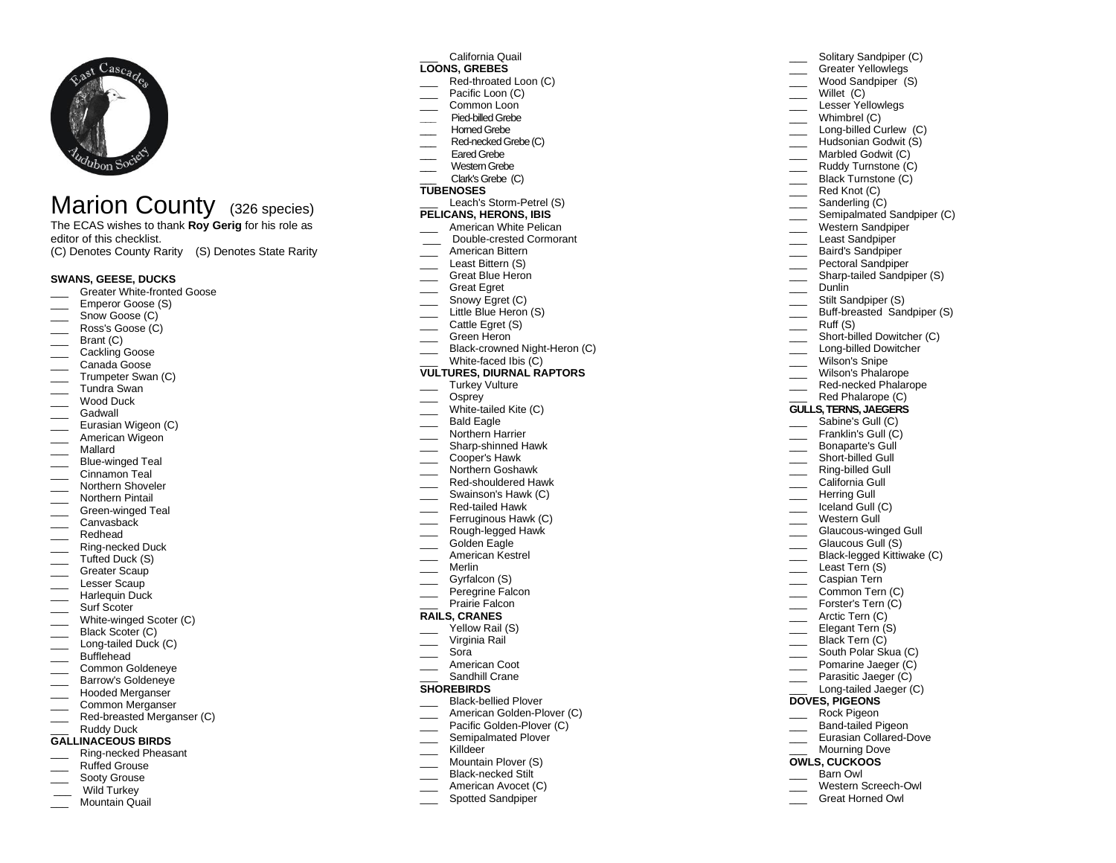

# Marion County (326 species)

The ECAS wishes to thank **Roy Gerig** for his role as editor of this checklist.

(C) Denotes County Rarity (S) Denotes State Rarity

# **SWANS, GEESE, DUCKS**

- Greater White-fronted Goose
- Emperor Goose (S)
- Snow Goose (C)
- \_\_\_ Ross's Goose (C)
- Brant (C)
- Cackling Goose
- Canada Goose
- Trumpeter Swan (C)
- \_\_\_ Tundra Swan
- Wood Duck
- \_\_\_ Gadwall
- \_\_ Eurasian Wigeon (C)
- \_\_\_ American Wigeon
- \_\_\_ Mallard
- \_\_\_ Blue-winged Teal
- \_\_\_ Cinnamon Teal
- \_\_\_ Northern Shoveler
- \_\_\_ Northern Pintail
- \_\_\_ Green-winged Teal
- \_\_\_ Canvasback
- \_\_\_ Redhead
- \_\_\_ Ring-necked Duck
- Tufted Duck (S)
- Greater Scaup
- Lesser Scaup
- \_\_\_ Harlequin Duck
- Surf Scoter
- White-winged Scoter (C)
- \_\_\_ Black Scoter (C)
- \_\_\_ Long-tailed Duck (C)
- **Bufflehead**
- Common Goldeneye
- \_\_\_ Barrow's Goldeneye \_\_\_ Hooded Merganser
- \_\_\_ Common Merganser
- \_\_\_ Red-breasted Merganser (C)
- Ruddy Duck

### **GALLINACEOUS BIRDS**

- \_\_\_ Ring-necked Pheasant
- Ruffed Grouse
- Sooty Grouse
- Wild Turkey
- Mountain Quail

# \_\_\_ California Quail

# **LOONS, GREBES**

Red-throated Loon (C)

Solitary Sandpiper (C) Greater Yellowlegs Wood Sandpiper (S)

Semipalmated Sandpiper (C) \_\_\_ Western Sandpiper Least Sandpiper \_\_\_ Baird's Sandpiper Pectoral Sandpiper Sharp-tailed Sandpiper (S)

Buff-breasted Sandpiper (S)

Short-billed Dowitcher (C) Long-billed Dowitcher Wilson's Snipe Wilson's Phalarope \_\_\_\_ Red-necked Phalarope Red Phalarope (C) **GULLS, TERNS, JAEGERS** Sabine's Gull (C) Franklin's Gull (C) \_\_\_ Bonaparte's Gull Short-billed Gull Ring-billed Gull \_\_\_ California Gull \_\_\_ Herring Gull \_\_\_ Iceland Gull (C) Western Gull

Glaucous-winged Gull \_\_\_ Glaucous Gull (S) \_\_\_ Black-legged Kittiwake (C)

Least Tern (S) Caspian Tern Common Tern (C) \_\_\_ Forster's Tern (C) \_\_\_\_ Arctic Tern (C) Elegant Tern (S) Black Tern (C) South Polar Skua (C) Pomarine Jaeger (C) \_\_\_ Parasitic Jaeger (C) Long-tailed Jaeger (C)

**DOVES, PIGEONS** \_\_\_ Rock Pigeon \_\_\_ Band-tailed Pigeon Eurasian Collared-Dove \_\_\_ Mourning Dove **OWLS, CUCKOOS** Barn Owl

> \_\_\_ Western Screech-Owl \_\_\_ Great Horned Owl

Willet (C) Lesser Yellowlegs Whimbrel (C) Long-billed Curlew (C) \_\_\_ Hudsonian Godwit (S) Marbled Godwit (C) Ruddy Turnstone (C) Black Turnstone (C)

\_\_\_ Red Knot (C) \_\_\_\_ Sanderling (C)

Dunlin Stilt Sandpiper (S)

Ruff (S)

- Pacific Loon (C) Common Loon
- **\_\_\_** Pied-billed Grebe
- Horned Grebe
- Red-necked Grebe (C)
- Eared Grebe
- \_\_\_ Western Grebe
- \_\_\_ Clark's Grebe(C)

# **TUBENOSES**

- Leach's Storm-Petrel (S)
- **PELICANS, HERONS, IBIS**
- American White Pelican
- \_\_\_ Double-crested Cormorant
- \_\_\_ American Bittern
- Least Bittern (S)
- \_\_\_ Great Blue Heron
- Great Egret
- \_\_\_\_ Snowy Egret (C)
- Little Blue Heron (S)
- Cattle Egret (S)
- \_\_\_ Green Heron
- \_\_\_ Black-crowned Night-Heron (C)
- White-faced Ibis (C)

# **VULTURES, DIURNAL RAPTORS**

- \_\_\_ Turkey Vulture
- Osprey
- White-tailed Kite (C)
- Bald Eagle
- Northern Harrier
- \_\_\_ Sharp-shinned Hawk
- \_\_\_ Cooper's Hawk
- \_\_\_ Northern Goshawk
- Red-shouldered Hawk \_\_\_ Swainson's Hawk (C)
- \_\_\_ Red-tailed Hawk
- Ferruginous Hawk (C)
- Rough-legged Hawk
- Golden Eagle
- American Kestrel
- \_\_\_ Merlin
- Gyrfalcon (S)
- Peregrine Falcon
- Prairie Falcon

#### **RAILS, CRANES**

- Yellow Rail (S)
- Virginia Rail
- \_\_\_ Sora
- American Coot
- Sandhill Crane **SHOREBIRDS**

\_\_\_ Killdeer

Black-bellied Plover

Semipalmated Plover

Mountain Plover (S) Black-necked Stilt American Avocet (C) Spotted Sandpiper

American Golden-Plover (C) Pacific Golden-Plover (C)